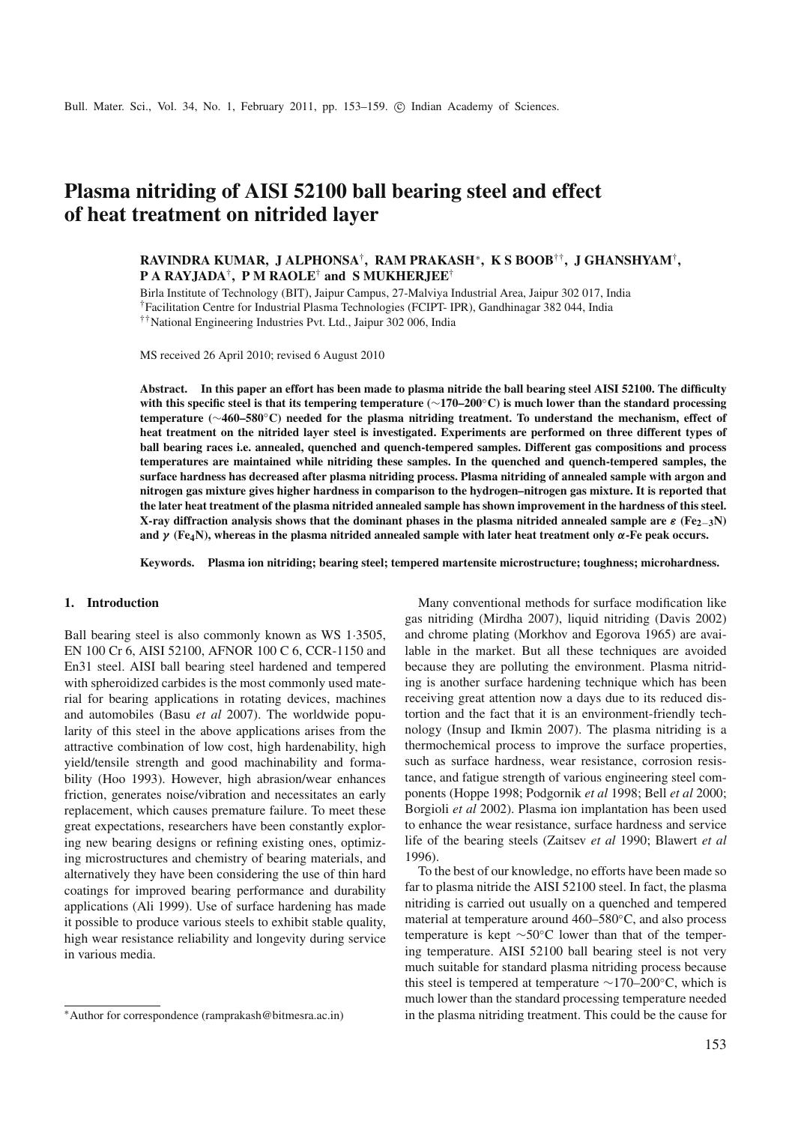# **Plasma nitriding of AISI 52100 ball bearing steel and effect of heat treatment on nitrided layer**

## **RAVINDRA KUMAR, J ALPHONSA**† **, RAM PRAKASH**<sup>∗</sup> **, K S BOOB**††**, J GHANSHYAM**† **, P A RAYJADA**† **, P M RAOLE**† **and S MUKHERJEE**†

Birla Institute of Technology (BIT), Jaipur Campus, 27-Malviya Industrial Area, Jaipur 302 017, India

†Facilitation Centre for Industrial Plasma Technologies (FCIPT- IPR), Gandhinagar 382 044, India

††National Engineering Industries Pvt. Ltd., Jaipur 302 006, India

MS received 26 April 2010; revised 6 August 2010

**Abstract. In this paper an effort has been made to plasma nitride the ball bearing steel AISI 52100. The difficulty with this specific steel is that its tempering temperature (**∼**170–200**◦**C) is much lower than the standard processing temperature (**∼**460–580**◦**C) needed for the plasma nitriding treatment. To understand the mechanism, effect of heat treatment on the nitrided layer steel is investigated. Experiments are performed on three different types of ball bearing races i.e. annealed, quenched and quench-tempered samples. Different gas compositions and process temperatures are maintained while nitriding these samples. In the quenched and quench-tempered samples, the surface hardness has decreased after plasma nitriding process. Plasma nitriding of annealed sample with argon and nitrogen gas mixture gives higher hardness in comparison to the hydrogen–nitrogen gas mixture. It is reported that the later heat treatment of the plasma nitrided annealed sample has shown improvement in the hardness of this steel. X-ray diffraction analysis shows that the dominant phases in the plasma nitrided annealed sample are** ε **(Fe2**−**3N) and**  $\gamma$  (Fe<sub>4</sub>N), whereas in the plasma nitrided annealed sample with later heat treatment only  $\alpha$ -Fe peak occurs.

**Keywords. Plasma ion nitriding; bearing steel; tempered martensite microstructure; toughness; microhardness.**

#### **1. Introduction**

Ball bearing steel is also commonly known as WS 1·3505, EN 100 Cr 6, AISI 52100, AFNOR 100 C 6, CCR-1150 and En31 steel. AISI ball bearing steel hardened and tempered with spheroidized carbides is the most commonly used material for bearing applications in rotating devices, machines and automobiles (Basu *et al* 2007). The worldwide popularity of this steel in the above applications arises from the attractive combination of low cost, high hardenability, high yield/tensile strength and good machinability and formability (Hoo 1993). However, high abrasion/wear enhances friction, generates noise/vibration and necessitates an early replacement, which causes premature failure. To meet these great expectations, researchers have been constantly exploring new bearing designs or refining existing ones, optimizing microstructures and chemistry of bearing materials, and alternatively they have been considering the use of thin hard coatings for improved bearing performance and durability applications (Ali 1999). Use of surface hardening has made it possible to produce various steels to exhibit stable quality, high wear resistance reliability and longevity during service in various media.

Many conventional methods for surface modification like gas nitriding (Mirdha 2007), liquid nitriding (Davis 2002) and chrome plating (Morkhov and Egorova 1965) are available in the market. But all these techniques are avoided because they are polluting the environment. Plasma nitriding is another surface hardening technique which has been receiving great attention now a days due to its reduced distortion and the fact that it is an environment-friendly technology (Insup and Ikmin 2007). The plasma nitriding is a thermochemical process to improve the surface properties, such as surface hardness, wear resistance, corrosion resistance, and fatigue strength of various engineering steel components (Hoppe 1998; Podgornik *et al* 1998; Bell *et al* 2000; Borgioli *et al* 2002). Plasma ion implantation has been used to enhance the wear resistance, surface hardness and service life of the bearing steels (Zaitsev *et al* 1990; Blawert *et al* 1996).

To the best of our knowledge, no efforts have been made so far to plasma nitride the AISI 52100 steel. In fact, the plasma nitriding is carried out usually on a quenched and tempered material at temperature around 460–580◦C, and also process temperature is kept ∼50◦C lower than that of the tempering temperature. AISI 52100 ball bearing steel is not very much suitable for standard plasma nitriding process because this steel is tempered at temperature  $\sim$ 170–200°C, which is much lower than the standard processing temperature needed in the plasma nitriding treatment. This could be the cause for

<sup>∗</sup>Author for correspondence (ramprakash@bitmesra.ac.in)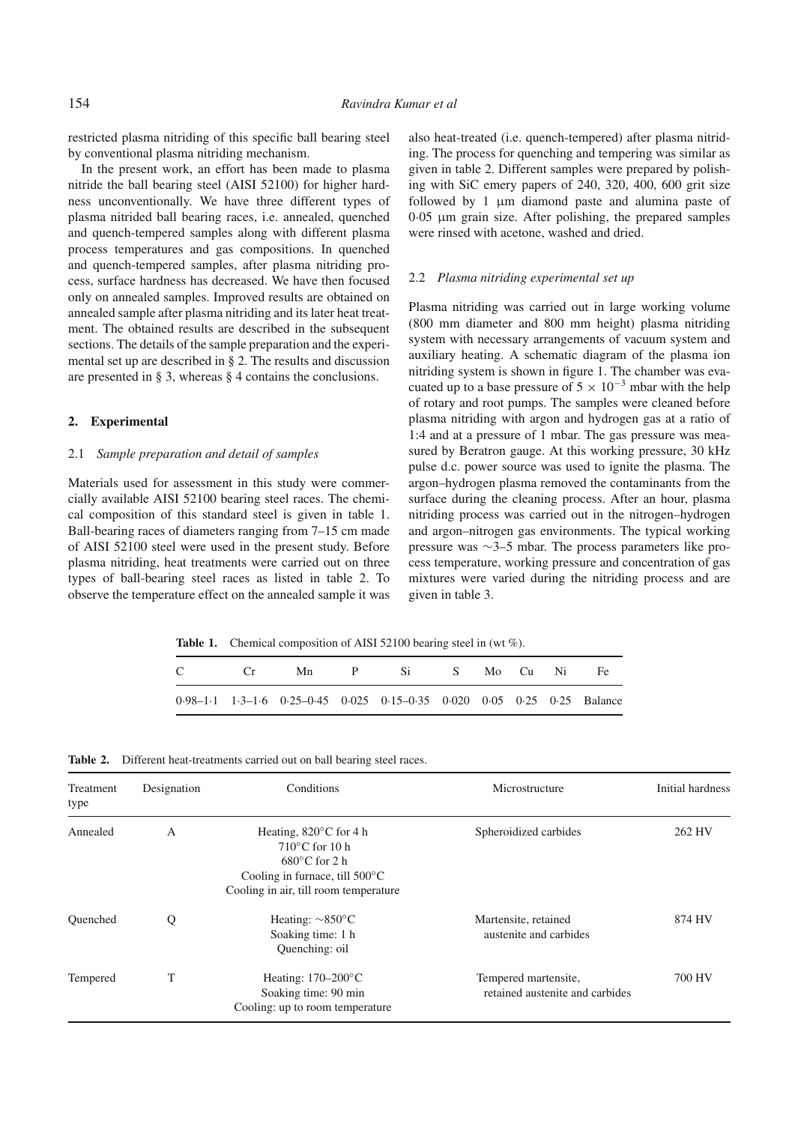restricted plasma nitriding of this specific ball bearing steel by conventional plasma nitriding mechanism.

In the present work, an effort has been made to plasma nitride the ball bearing steel (AISI 52100) for higher hardness unconventionally. We have three different types of plasma nitrided ball bearing races, i.e. annealed, quenched and quench-tempered samples along with different plasma process temperatures and gas compositions. In quenched and quench-tempered samples, after plasma nitriding process, surface hardness has decreased. We have then focused only on annealed samples. Improved results are obtained on annealed sample after plasma nitriding and its later heat treatment. The obtained results are described in the subsequent sections. The details of the sample preparation and the experimental set up are described in § 2. The results and discussion are presented in § 3, whereas § 4 contains the conclusions.

### **2. Experimental**

## 2.1 *Sample preparation and detail of samples*

Materials used for assessment in this study were commercially available AISI 52100 bearing steel races. The chemical composition of this standard steel is given in table 1. Ball-bearing races of diameters ranging from 7–15 cm made of AISI 52100 steel were used in the present study. Before plasma nitriding, heat treatments were carried out on three types of ball-bearing steel races as listed in table 2. To observe the temperature effect on the annealed sample it was

also heat-treated (i.e. quench-tempered) after plasma nitriding. The process for quenching and tempering was similar as given in table 2. Different samples were prepared by polishing with SiC emery papers of 240, 320, 400, 600 grit size followed by 1 um diamond paste and alumina paste of 0·05 µm grain size. After polishing, the prepared samples were rinsed with acetone, washed and dried.

#### 2.2 *Plasma nitriding experimental set up*

Plasma nitriding was carried out in large working volume (800 mm diameter and 800 mm height) plasma nitriding system with necessary arrangements of vacuum system and auxiliary heating. A schematic diagram of the plasma ion nitriding system is shown in figure 1. The chamber was evacuated up to a base pressure of  $5 \times 10^{-3}$  mbar with the help of rotary and root pumps. The samples were cleaned before plasma nitriding with argon and hydrogen gas at a ratio of 1:4 and at a pressure of 1 mbar. The gas pressure was measured by Beratron gauge. At this working pressure, 30 kHz pulse d.c. power source was used to ignite the plasma. The argon–hydrogen plasma removed the contaminants from the surface during the cleaning process. After an hour, plasma nitriding process was carried out in the nitrogen–hydrogen and argon–nitrogen gas environments. The typical working pressure was ∼3–5 mbar. The process parameters like process temperature, working pressure and concentration of gas mixtures were varied during the nitriding process and are given in table 3.

Table 1. Chemical composition of AISI 52100 bearing steel in (wt %).

| $\mathbb{C}$ | $C_{\rm r}$ |                                                                           | Mn P Si S Mo Cu Ni Fe |  |  |  |
|--------------|-------------|---------------------------------------------------------------------------|-----------------------|--|--|--|
|              |             | $0.98-1.1$ 1.3-1.6 0.25-0.45 0.025 0.15-0.35 0.020 0.05 0.25 0.25 Balance |                       |  |  |  |

**Table 2.** Different heat-treatments carried out on ball bearing steel races.

| Treatment<br>type | Designation | Conditions                                                                                                                                                                   | Microstructure                                          | Initial hardness |
|-------------------|-------------|------------------------------------------------------------------------------------------------------------------------------------------------------------------------------|---------------------------------------------------------|------------------|
| Annealed          | A           | Heating, $820^{\circ}$ C for 4 h<br>$710^{\circ}$ C for 10 h<br>$680^{\circ}$ C for 2 h<br>Cooling in furnace, till $500^{\circ}$ C<br>Cooling in air, till room temperature | Spheroidized carbides                                   | 262 HV           |
| Ouenched          | Q           | Heating: $\sim 850^{\circ}$ C<br>Soaking time: 1 h<br>Quenching: oil                                                                                                         | Martensite, retained<br>austenite and carbides          | 874 HV           |
| Tempered          | T           | Heating: $170-200^{\circ}$ C<br>Soaking time: 90 min<br>Cooling: up to room temperature                                                                                      | Tempered martensite,<br>retained austenite and carbides | 700 HV           |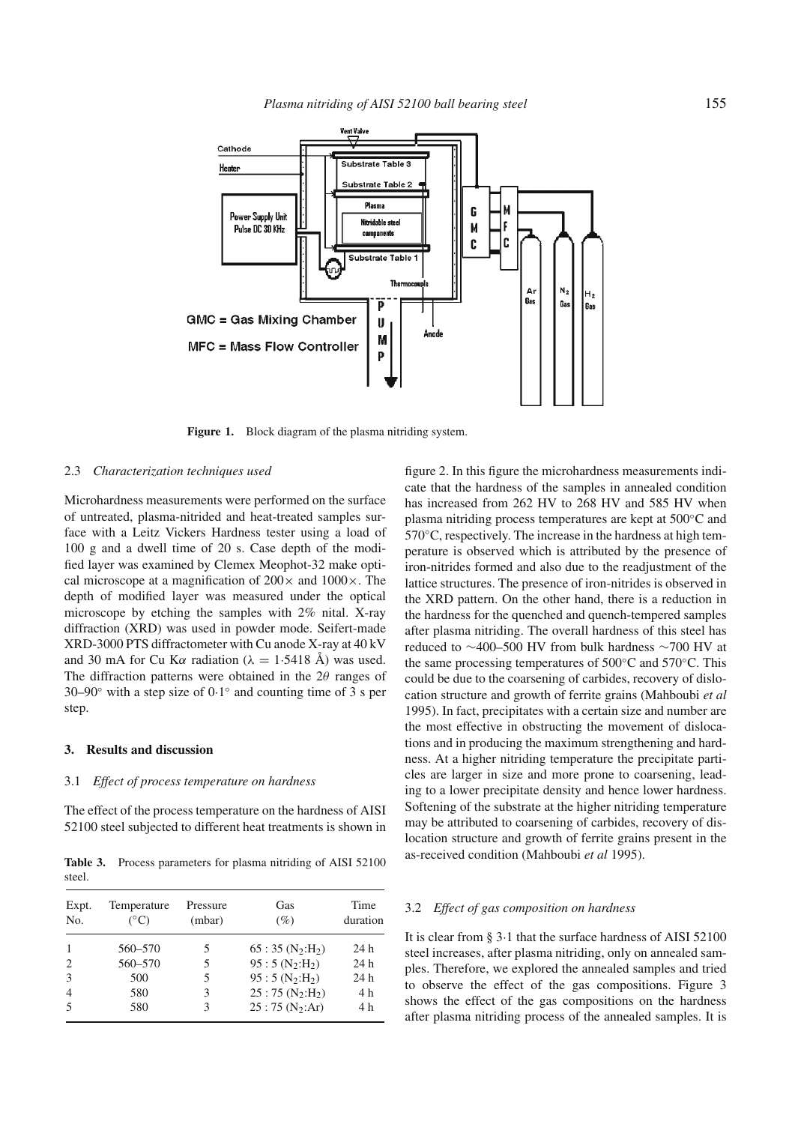

**Figure 1.** Block diagram of the plasma nitriding system.

#### 2.3 *Characterization techniques used*

Microhardness measurements were performed on the surface of untreated, plasma-nitrided and heat-treated samples surface with a Leitz Vickers Hardness tester using a load of 100 g and a dwell time of 20 s. Case depth of the modified layer was examined by Clemex Meophot-32 make optical microscope at a magnification of  $200 \times$  and  $1000 \times$ . The depth of modified layer was measured under the optical microscope by etching the samples with 2% nital. X-ray diffraction (XRD) was used in powder mode. Seifert-made XRD-3000 PTS diffractometer with Cu anode X-ray at 40 kV and 30 mA for Cu K $\alpha$  radiation ( $\lambda = 1.5418$  Å) was used. The diffraction patterns were obtained in the  $2\theta$  ranges of 30–90 $\degree$  with a step size of 0.1 $\degree$  and counting time of 3 s per step.

#### **3. Results and discussion**

## 3.1 *Effect of process temperature on hardness*

The effect of the process temperature on the hardness of AISI 52100 steel subjected to different heat treatments is shown in

**Table 3.** Process parameters for plasma nitriding of AISI 52100 steel.

| Expt.<br>N <sub>0</sub> | Temperature<br>$(^{\circ}C)$ | Pressure<br>(mbar) | Gas<br>(%)       | Time<br>duration |
|-------------------------|------------------------------|--------------------|------------------|------------------|
| $\mathbf{1}$            | 560-570                      | 5                  | $65:35(N_2:H_2)$ | 24 h             |
| $\overline{c}$          | 560-570                      | 5                  | $95:5(N_2:H_2)$  | 24 h             |
| 3                       | 500                          | 5                  | $95:5(N_2:H_2)$  | 24 h             |
| $\overline{4}$          | 580                          | 3                  | $25:75(N_2:H_2)$ | 4 h              |
| 5                       | 580                          | 3                  | $25:75(N_2:Ar)$  | 4 h              |

figure 2. In this figure the microhardness measurements indicate that the hardness of the samples in annealed condition has increased from 262 HV to 268 HV and 585 HV when plasma nitriding process temperatures are kept at 500◦C and  $570^{\circ}$ C, respectively. The increase in the hardness at high temperature is observed which is attributed by the presence of iron-nitrides formed and also due to the readjustment of the lattice structures. The presence of iron-nitrides is observed in the XRD pattern. On the other hand, there is a reduction in the hardness for the quenched and quench-tempered samples after plasma nitriding. The overall hardness of this steel has reduced to ∼400–500 HV from bulk hardness ∼700 HV at the same processing temperatures of 500◦C and 570◦C. This could be due to the coarsening of carbides, recovery of dislocation structure and growth of ferrite grains (Mahboubi *et al* 1995). In fact, precipitates with a certain size and number are the most effective in obstructing the movement of dislocations and in producing the maximum strengthening and hardness. At a higher nitriding temperature the precipitate particles are larger in size and more prone to coarsening, leading to a lower precipitate density and hence lower hardness. Softening of the substrate at the higher nitriding temperature may be attributed to coarsening of carbides, recovery of dislocation structure and growth of ferrite grains present in the as-received condition (Mahboubi *et al* 1995).

#### 3.2 *Effect of gas composition on hardness*

It is clear from § 3·1 that the surface hardness of AISI 52100 steel increases, after plasma nitriding, only on annealed samples. Therefore, we explored the annealed samples and tried to observe the effect of the gas compositions. Figure 3 shows the effect of the gas compositions on the hardness after plasma nitriding process of the annealed samples. It is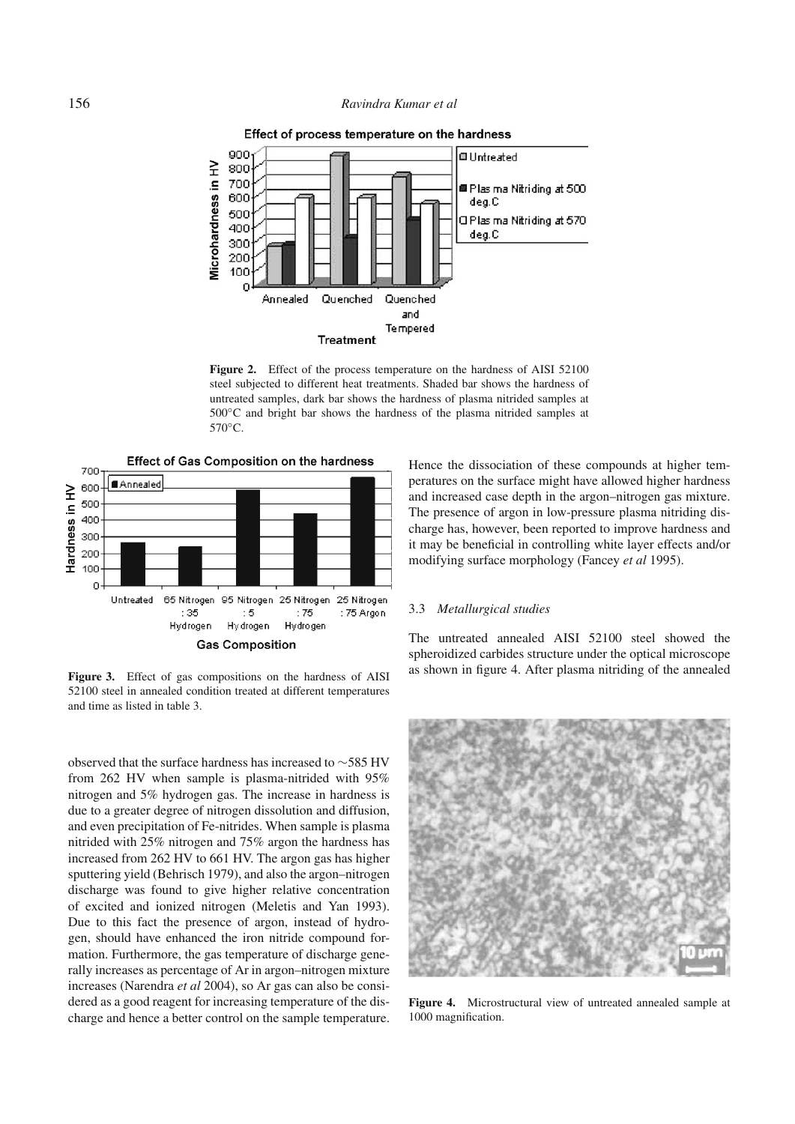## 156 *Ravindra Kumar et al*



Figure 2. Effect of the process temperature on the hardness of AISI 52100 steel subjected to different heat treatments. Shaded bar shows the hardness of untreated samples, dark bar shows the hardness of plasma nitrided samples at 500◦C and bright bar shows the hardness of the plasma nitrided samples at 570◦C.



**Figure 3.** Effect of gas compositions on the hardness of AISI 52100 steel in annealed condition treated at different temperatures and time as listed in table 3.

observed that the surface hardness has increased to ∼585 HV from 262 HV when sample is plasma-nitrided with 95% nitrogen and 5% hydrogen gas. The increase in hardness is due to a greater degree of nitrogen dissolution and diffusion, and even precipitation of Fe-nitrides. When sample is plasma nitrided with 25% nitrogen and 75% argon the hardness has increased from 262 HV to 661 HV. The argon gas has higher sputtering yield (Behrisch 1979), and also the argon–nitrogen discharge was found to give higher relative concentration of excited and ionized nitrogen (Meletis and Yan 1993). Due to this fact the presence of argon, instead of hydrogen, should have enhanced the iron nitride compound formation. Furthermore, the gas temperature of discharge generally increases as percentage of Ar in argon–nitrogen mixture increases (Narendra *et al* 2004), so Ar gas can also be considered as a good reagent for increasing temperature of the discharge and hence a better control on the sample temperature.

Hence the dissociation of these compounds at higher temperatures on the surface might have allowed higher hardness and increased case depth in the argon–nitrogen gas mixture. The presence of argon in low-pressure plasma nitriding discharge has, however, been reported to improve hardness and it may be beneficial in controlling white layer effects and/or modifying surface morphology (Fancey *et al* 1995).

#### 3.3 *Metallurgical studies*

The untreated annealed AISI 52100 steel showed the spheroidized carbides structure under the optical microscope as shown in figure 4. After plasma nitriding of the annealed



**Figure 4.** Microstructural view of untreated annealed sample at 1000 magnification.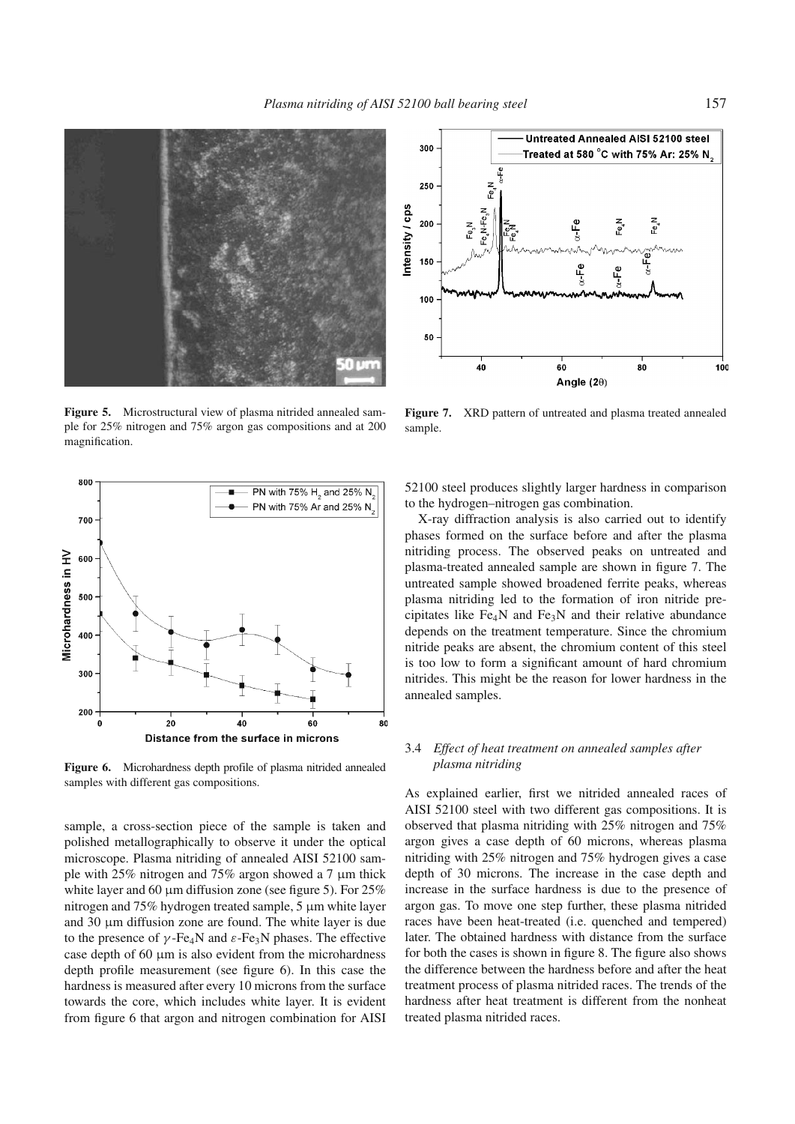![](_page_4_Picture_1.jpeg)

**Figure 5.** Microstructural view of plasma nitrided annealed sample for 25% nitrogen and 75% argon gas compositions and at 200 magnification.

![](_page_4_Figure_3.jpeg)

**Figure 6.** Microhardness depth profile of plasma nitrided annealed samples with different gas compositions.

sample, a cross-section piece of the sample is taken and polished metallographically to observe it under the optical microscope. Plasma nitriding of annealed AISI 52100 sample with 25% nitrogen and 75% argon showed a 7  $\mu$ m thick white layer and 60  $\mu$ m diffusion zone (see figure 5). For 25% nitrogen and 75% hydrogen treated sample, 5 µm white layer and  $30 \mu m$  diffusion zone are found. The white layer is due to the presence of  $\gamma$ -Fe<sub>4</sub>N and  $\varepsilon$ -Fe<sub>3</sub>N phases. The effective case depth of 60 µm is also evident from the microhardness depth profile measurement (see figure 6). In this case the hardness is measured after every 10 microns from the surface towards the core, which includes white layer. It is evident from figure 6 that argon and nitrogen combination for AISI

![](_page_4_Figure_6.jpeg)

**Figure 7.** XRD pattern of untreated and plasma treated annealed sample.

52100 steel produces slightly larger hardness in comparison to the hydrogen–nitrogen gas combination.

X-ray diffraction analysis is also carried out to identify phases formed on the surface before and after the plasma nitriding process. The observed peaks on untreated and plasma-treated annealed sample are shown in figure 7. The untreated sample showed broadened ferrite peaks, whereas plasma nitriding led to the formation of iron nitride precipitates like  $Fe<sub>4</sub>N$  and  $Fe<sub>3</sub>N$  and their relative abundance depends on the treatment temperature. Since the chromium nitride peaks are absent, the chromium content of this steel is too low to form a significant amount of hard chromium nitrides. This might be the reason for lower hardness in the annealed samples.

## 3.4 *Effect of heat treatment on annealed samples after plasma nitriding*

As explained earlier, first we nitrided annealed races of AISI 52100 steel with two different gas compositions. It is observed that plasma nitriding with 25% nitrogen and 75% argon gives a case depth of 60 microns, whereas plasma nitriding with 25% nitrogen and 75% hydrogen gives a case depth of 30 microns. The increase in the case depth and increase in the surface hardness is due to the presence of argon gas. To move one step further, these plasma nitrided races have been heat-treated (i.e. quenched and tempered) later. The obtained hardness with distance from the surface for both the cases is shown in figure 8. The figure also shows the difference between the hardness before and after the heat treatment process of plasma nitrided races. The trends of the hardness after heat treatment is different from the nonheat treated plasma nitrided races.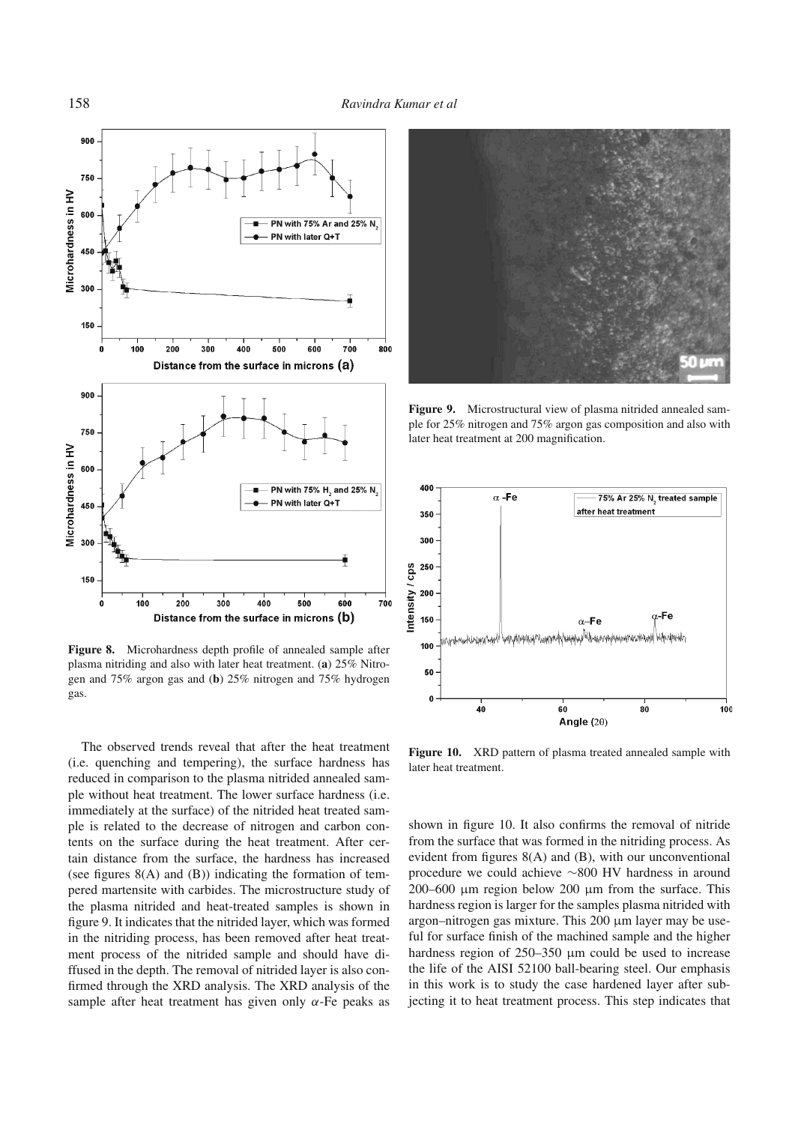![](_page_5_Figure_1.jpeg)

**Figure 8.** Microhardness depth profile of annealed sample after plasma nitriding and also with later heat treatment. (**a**) 25% Nitrogen and 75% argon gas and (**b**) 25% nitrogen and 75% hydrogen gas.

The observed trends reveal that after the heat treatment (i.e. quenching and tempering), the surface hardness has reduced in comparison to the plasma nitrided annealed sample without heat treatment. The lower surface hardness (i.e. immediately at the surface) of the nitrided heat treated sample is related to the decrease of nitrogen and carbon contents on the surface during the heat treatment. After certain distance from the surface, the hardness has increased (see figures 8(A) and (B)) indicating the formation of tempered martensite with carbides. The microstructure study of the plasma nitrided and heat-treated samples is shown in figure 9. It indicates that the nitrided layer, which was formed in the nitriding process, has been removed after heat treatment process of the nitrided sample and should have diffused in the depth. The removal of nitrided layer is also confirmed through the XRD analysis. The XRD analysis of the sample after heat treatment has given only  $\alpha$ -Fe peaks as

![](_page_5_Picture_4.jpeg)

**Figure 9.** Microstructural view of plasma nitrided annealed sample for 25% nitrogen and 75% argon gas composition and also with later heat treatment at 200 magnification.

![](_page_5_Figure_6.jpeg)

**Figure 10.** XRD pattern of plasma treated annealed sample with later heat treatment.

shown in figure 10. It also confirms the removal of nitride from the surface that was formed in the nitriding process. As evident from figures 8(A) and (B), with our unconventional procedure we could achieve ∼800 HV hardness in around 200–600  $\mu$ m region below 200  $\mu$ m from the surface. This hardness region is larger for the samples plasma nitrided with argon–nitrogen gas mixture. This  $200 \mu m$  layer may be useful for surface finish of the machined sample and the higher hardness region of 250–350 µm could be used to increase the life of the AISI 52100 ball-bearing steel. Our emphasis in this work is to study the case hardened layer after subjecting it to heat treatment process. This step indicates that